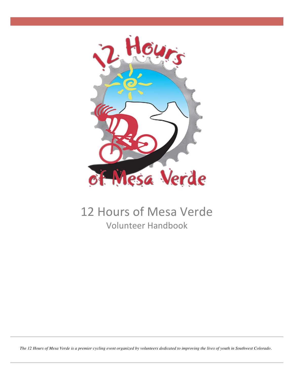

# 12 Hours of Mesa Verde Volunteer Handbook

*The 12 Hours of Mesa Verde is a premier cycling event organized by volunteers dedicated to improving the lives of youth in Southwest Colorado.*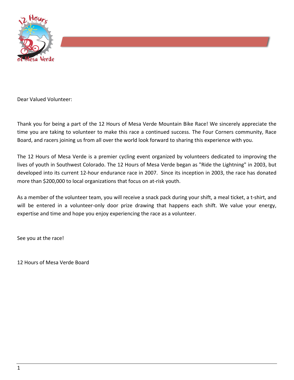

Dear Valued Volunteer: 

Thank you for being a part of the 12 Hours of Mesa Verde Mountain Bike Race! We sincerely appreciate the time you are taking to volunteer to make this race a continued success. The Four Corners community, Race Board, and racers joining us from all over the world look forward to sharing this experience with you.

The 12 Hours of Mesa Verde is a premier cycling event organized by volunteers dedicated to improving the lives of youth in Southwest Colorado. The 12 Hours of Mesa Verde began as "Ride the Lightning" in 2003, but developed into its current 12-hour endurance race in 2007. Since its inception in 2003, the race has donated more than \$200,000 to local organizations that focus on at-risk youth.

As a member of the volunteer team, you will receive a snack pack during your shift, a meal ticket, a t-shirt, and will be entered in a volunteer-only door prize drawing that happens each shift. We value your energy, expertise and time and hope you enjoy experiencing the race as a volunteer.

See you at the race!

12 Hours of Mesa Verde Board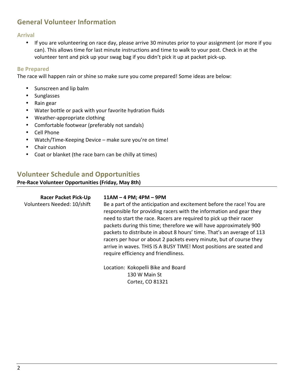# **General Volunteer Information**

**Arrival**

• If you are volunteering on race day, please arrive 30 minutes prior to your assignment (or more if you can). This allows time for last minute instructions and time to walk to your post. Check in at the volunteer tent and pick up your swag bag if you didn't pick it up at packet pick-up.

### **Be Prepared**

The race will happen rain or shine so make sure you come prepared! Some ideas are below:

- Sunscreen and lip balm
- Sunglasses
- Rain gear
- Water bottle or pack with your favorite hydration fluids
- Weather-appropriate clothing
- Comfortable footwear (preferably not sandals)
- Cell Phone
- Watch/Time-Keeping Device make sure you're on time!
- Chair cushion
- Coat or blanket (the race barn can be chilly at times)

## **Volunteer Schedule and Opportunities**

#### **Pre-Race Volunteer Opportunities (Friday, May 8th)**

| <b>Racer Packet Pick-Up</b><br>Volunteers Needed: 10/shift | $11AM - 4 PM$ ; $4PM - 9PM$<br>Be a part of the anticipation and excitement before the race! You are<br>responsible for providing racers with the information and gear they<br>need to start the race. Racers are required to pick up their racer<br>packets during this time; therefore we will have approximately 900<br>packets to distribute in about 8 hours' time. That's an average of 113<br>racers per hour or about 2 packets every minute, but of course they<br>arrive in waves. THIS IS A BUSY TIME! Most positions are seated and<br>require efficiency and friendliness. |
|------------------------------------------------------------|-----------------------------------------------------------------------------------------------------------------------------------------------------------------------------------------------------------------------------------------------------------------------------------------------------------------------------------------------------------------------------------------------------------------------------------------------------------------------------------------------------------------------------------------------------------------------------------------|
|                                                            | Location: Kokopelli Bike and Board<br>130 W Main St                                                                                                                                                                                                                                                                                                                                                                                                                                                                                                                                     |

Cortez, CO 81321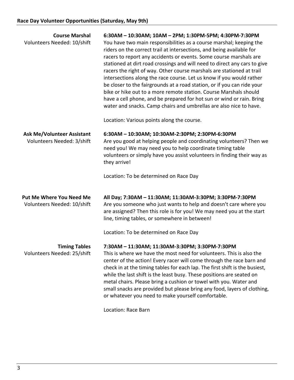| 6:30AM - 10:30AM; 10AM - 2PM; 1:30PM-5PM; 4:30PM-7:30PM<br>You have two main responsibilities as a course marshal; keeping the<br>riders on the correct trail at intersections, and being available for<br>racers to report any accidents or events. Some course marshals are<br>stationed at dirt road crossings and will need to direct any cars to give<br>racers the right of way. Other course marshals are stationed at trail<br>intersections along the race course. Let us know if you would rather<br>be closer to the fairgrounds at a road station, or if you can ride your<br>bike or hike out to a more remote station. Course Marshals should<br>have a cell phone, and be prepared for hot sun or wind or rain. Bring<br>water and snacks. Camp chairs and umbrellas are also nice to have. |
|------------------------------------------------------------------------------------------------------------------------------------------------------------------------------------------------------------------------------------------------------------------------------------------------------------------------------------------------------------------------------------------------------------------------------------------------------------------------------------------------------------------------------------------------------------------------------------------------------------------------------------------------------------------------------------------------------------------------------------------------------------------------------------------------------------|
| Location: Various points along the course.                                                                                                                                                                                                                                                                                                                                                                                                                                                                                                                                                                                                                                                                                                                                                                 |
| 6:30AM - 10:30AM; 10:30AM-2:30PM; 2:30PM-6:30PM<br>Are you good at helping people and coordinating volunteers? Then we<br>need you! We may need you to help coordinate timing table<br>volunteers or simply have you assist volunteers in finding their way as<br>they arrive!                                                                                                                                                                                                                                                                                                                                                                                                                                                                                                                             |
| Location: To be determined on Race Day                                                                                                                                                                                                                                                                                                                                                                                                                                                                                                                                                                                                                                                                                                                                                                     |
| All Day; 7:30AM - 11:30AM; 11:30AM-3:30PM; 3:30PM-7:30PM<br>Are you someone who just wants to help and doesn't care where you<br>are assigned? Then this role is for you! We may need you at the start<br>line, timing tables, or somewhere in between!                                                                                                                                                                                                                                                                                                                                                                                                                                                                                                                                                    |
| Location: To be determined on Race Day                                                                                                                                                                                                                                                                                                                                                                                                                                                                                                                                                                                                                                                                                                                                                                     |
| 7:30AM - 11:30AM; 11:30AM-3:30PM; 3:30PM-7:30PM<br>This is where we have the most need for volunteers. This is also the<br>center of the action! Every racer will come through the race barn and<br>check in at the timing tables for each lap. The first shift is the busiest,<br>while the last shift is the least busy. These positions are seated on<br>metal chairs. Please bring a cushion or towel with you. Water and<br>small snacks are provided but please bring any food, layers of clothing,<br>or whatever you need to make yourself comfortable.<br>Location: Race Barn                                                                                                                                                                                                                     |
|                                                                                                                                                                                                                                                                                                                                                                                                                                                                                                                                                                                                                                                                                                                                                                                                            |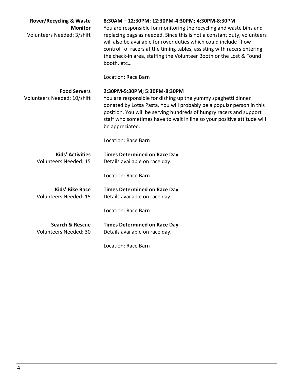| <b>Rover/Recycling &amp; Waste</b><br><b>Monitor</b><br>Volunteers Needed: 3/shift | 8:30AM - 12:30PM; 12:30PM-4:30PM; 4:30PM-8:30PM<br>You are responsible for monitoring the recycling and waste bins and<br>replacing bags as needed. Since this is not a constant duty, volunteers<br>will also be available for rover duties which could include "flow<br>control" of racers at the timing tables, assisting with racers entering<br>the check-in area, staffing the Volunteer Booth or the Lost & Found<br>booth, etc |
|------------------------------------------------------------------------------------|----------------------------------------------------------------------------------------------------------------------------------------------------------------------------------------------------------------------------------------------------------------------------------------------------------------------------------------------------------------------------------------------------------------------------------------|
|                                                                                    | Location: Race Barn                                                                                                                                                                                                                                                                                                                                                                                                                    |
| <b>Food Servers</b><br>Volunteers Needed: 10/shift                                 | 2:30PM-5:30PM; 5:30PM-8:30PM<br>You are responsible for dishing up the yummy spaghetti dinner<br>donated by Lotsa Pasta. You will probably be a popular person in this<br>position. You will be serving hundreds of hungry racers and support<br>staff who sometimes have to wait in line so your positive attitude will<br>be appreciated.                                                                                            |
|                                                                                    | Location: Race Barn                                                                                                                                                                                                                                                                                                                                                                                                                    |
| <b>Kids' Activities</b><br><b>Volunteers Needed: 15</b>                            | <b>Times Determined on Race Day</b><br>Details available on race day.                                                                                                                                                                                                                                                                                                                                                                  |
|                                                                                    | Location: Race Barn                                                                                                                                                                                                                                                                                                                                                                                                                    |
| <b>Kids' Bike Race</b><br><b>Volunteers Needed: 15</b>                             | <b>Times Determined on Race Day</b><br>Details available on race day.                                                                                                                                                                                                                                                                                                                                                                  |
|                                                                                    | Location: Race Barn                                                                                                                                                                                                                                                                                                                                                                                                                    |
| <b>Search &amp; Rescue</b><br><b>Volunteers Needed: 30</b>                         | <b>Times Determined on Race Day</b><br>Details available on race day.                                                                                                                                                                                                                                                                                                                                                                  |
|                                                                                    | Location: Race Barn                                                                                                                                                                                                                                                                                                                                                                                                                    |